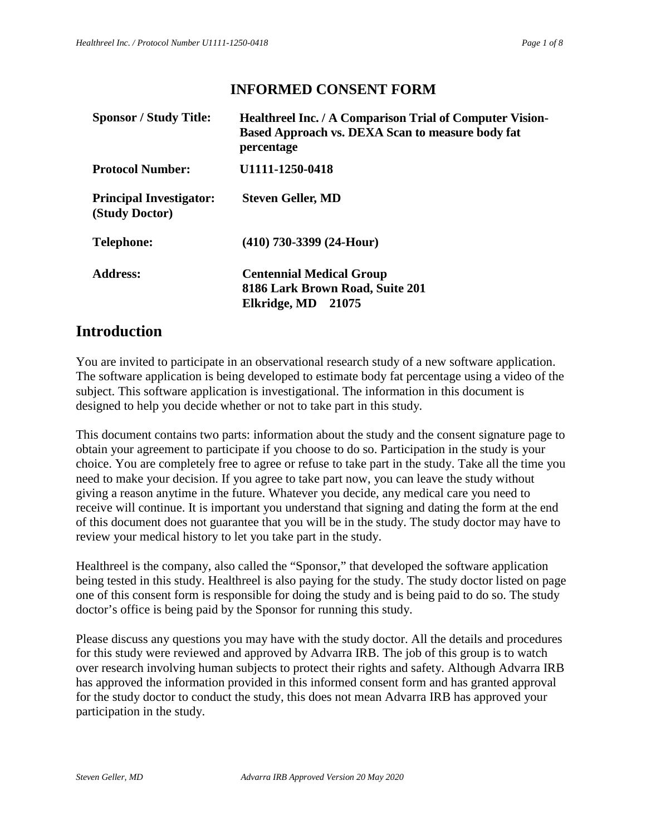## **INFORMED CONSENT FORM**

| <b>Healthreel Inc. / A Comparison Trial of Computer Vision-</b><br>Based Approach vs. DEXA Scan to measure body fat<br>percentage |
|-----------------------------------------------------------------------------------------------------------------------------------|
| U1111-1250-0418                                                                                                                   |
| <b>Steven Geller, MD</b>                                                                                                          |
| $(410)$ 730-3399 (24-Hour)                                                                                                        |
| <b>Centennial Medical Group</b><br>8186 Lark Brown Road, Suite 201<br>Elkridge, MD<br>21075                                       |
|                                                                                                                                   |

# **Introduction**

You are invited to participate in an observational research study of a new software application. The software application is being developed to estimate body fat percentage using a video of the subject. This software application is investigational. The information in this document is designed to help you decide whether or not to take part in this study.

This document contains two parts: information about the study and the consent signature page to obtain your agreement to participate if you choose to do so. Participation in the study is your choice. You are completely free to agree or refuse to take part in the study. Take all the time you need to make your decision. If you agree to take part now, you can leave the study without giving a reason anytime in the future. Whatever you decide, any medical care you need to receive will continue. It is important you understand that signing and dating the form at the end of this document does not guarantee that you will be in the study. The study doctor may have to review your medical history to let you take part in the study.

Healthreel is the company, also called the "Sponsor," that developed the software application being tested in this study. Healthreel is also paying for the study. The study doctor listed on page one of this consent form is responsible for doing the study and is being paid to do so. The study doctor's office is being paid by the Sponsor for running this study.

Please discuss any questions you may have with the study doctor. All the details and procedures for this study were reviewed and approved by Advarra IRB. The job of this group is to watch over research involving human subjects to protect their rights and safety. Although Advarra IRB has approved the information provided in this informed consent form and has granted approval for the study doctor to conduct the study, this does not mean Advarra IRB has approved your participation in the study.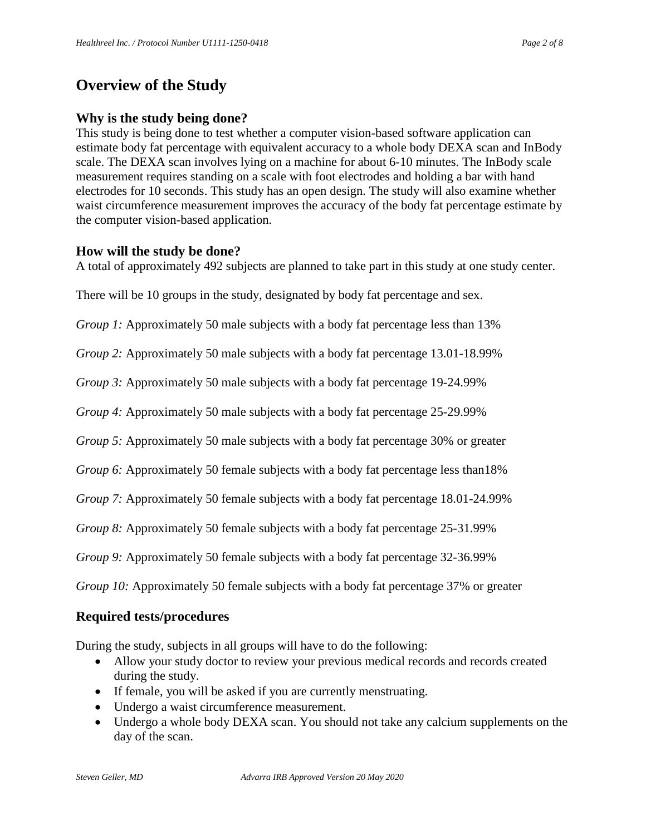# **Overview of the Study**

### **Why is the study being done?**

This study is being done to test whether a computer vision-based software application can estimate body fat percentage with equivalent accuracy to a whole body DEXA scan and InBody scale. The DEXA scan involves lying on a machine for about 6-10 minutes. The InBody scale measurement requires standing on a scale with foot electrodes and holding a bar with hand electrodes for 10 seconds. This study has an open design. The study will also examine whether waist circumference measurement improves the accuracy of the body fat percentage estimate by the computer vision-based application.

#### **How will the study be done?**

A total of approximately 492 subjects are planned to take part in this study at one study center.

There will be 10 groups in the study, designated by body fat percentage and sex.

*Group 1:* Approximately 50 male subjects with a body fat percentage less than 13%

*Group 2:* Approximately 50 male subjects with a body fat percentage 13.01-18.99%

*Group 3:* Approximately 50 male subjects with a body fat percentage 19-24.99%

*Group 4:* Approximately 50 male subjects with a body fat percentage 25-29.99%

*Group 5:* Approximately 50 male subjects with a body fat percentage 30% or greater

*Group 6:* Approximately 50 female subjects with a body fat percentage less than18%

*Group 7:* Approximately 50 female subjects with a body fat percentage 18.01-24.99%

*Group 8:* Approximately 50 female subjects with a body fat percentage 25-31.99%

*Group 9:* Approximately 50 female subjects with a body fat percentage 32-36.99%

*Group 10:* Approximately 50 female subjects with a body fat percentage 37% or greater

### **Required tests/procedures**

During the study, subjects in all groups will have to do the following:

- Allow your study doctor to review your previous medical records and records created during the study.
- If female, you will be asked if you are currently menstruating.
- Undergo a waist circumference measurement.
- Undergo a whole body DEXA scan. You should not take any calcium supplements on the day of the scan.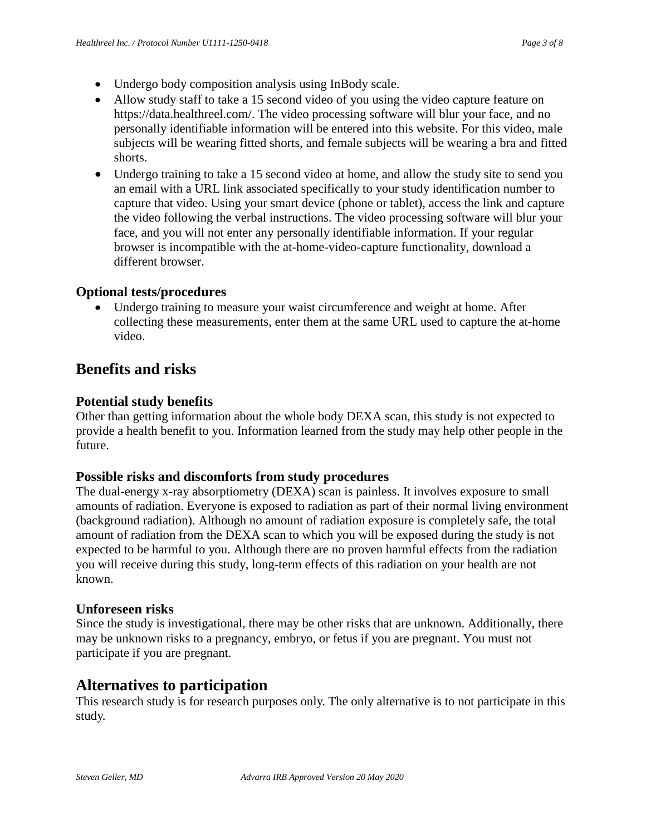- Undergo body composition analysis using InBody scale.
- Allow study staff to take a 15 second video of you using the video capture feature on https://data.healthreel.com/. The video processing software will blur your face, and no personally identifiable information will be entered into this website. For this video, male subjects will be wearing fitted shorts, and female subjects will be wearing a bra and fitted shorts.
- Undergo training to take a 15 second video at home, and allow the study site to send you an email with a URL link associated specifically to your study identification number to capture that video. Using your smart device (phone or tablet), access the link and capture the video following the verbal instructions. The video processing software will blur your face, and you will not enter any personally identifiable information. If your regular browser is incompatible with the at-home-video-capture functionality, download a different browser.

### **Optional tests/procedures**

Undergo training to measure your waist circumference and weight at home. After collecting these measurements, enter them at the same URL used to capture the at-home video.

## **Benefits and risks**

#### **Potential study benefits**

Other than getting information about the whole body DEXA scan, this study is not expected to provide a health benefit to you. Information learned from the study may help other people in the future.

### **Possible risks and discomforts from study procedures**

The dual-energy x-ray absorptiometry (DEXA) scan is painless. It involves exposure to small amounts of radiation. Everyone is exposed to radiation as part of their normal living environment (background radiation). Although no amount of radiation exposure is completely safe, the total amount of radiation from the DEXA scan to which you will be exposed during the study is not expected to be harmful to you. Although there are no proven harmful effects from the radiation you will receive during this study, long-term effects of this radiation on your health are not known.

#### **Unforeseen risks**

Since the study is investigational, there may be other risks that are unknown. Additionally, there may be unknown risks to a pregnancy, embryo, or fetus if you are pregnant. You must not participate if you are pregnant.

## **Alternatives to participation**

This research study is for research purposes only. The only alternative is to not participate in this study.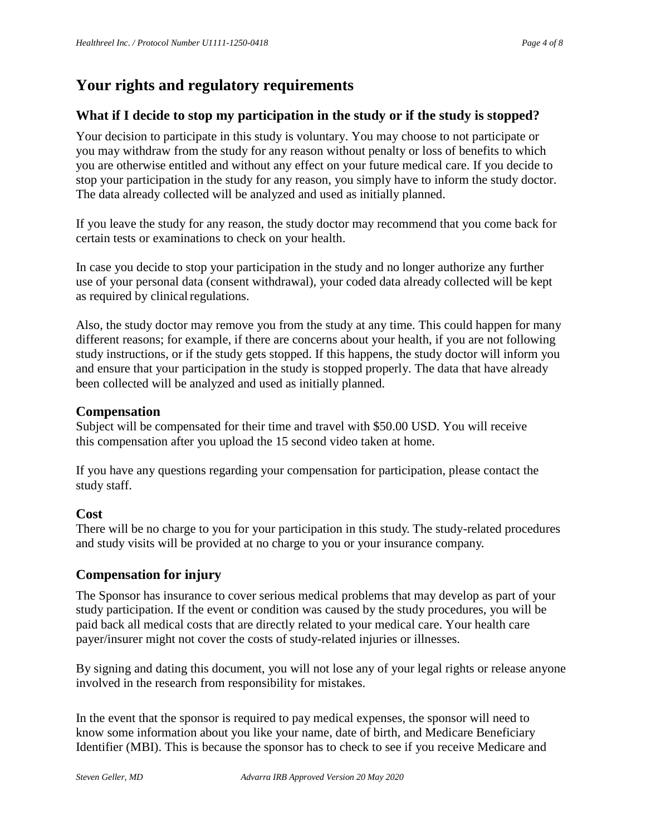# **Your rights and regulatory requirements**

## **What if I decide to stop my participation in the study or if the study is stopped?**

Your decision to participate in this study is voluntary. You may choose to not participate or you may withdraw from the study for any reason without penalty or loss of benefits to which you are otherwise entitled and without any effect on your future medical care. If you decide to stop your participation in the study for any reason, you simply have to inform the study doctor. The data already collected will be analyzed and used as initially planned.

If you leave the study for any reason, the study doctor may recommend that you come back for certain tests or examinations to check on your health.

In case you decide to stop your participation in the study and no longer authorize any further use of your personal data (consent withdrawal), your coded data already collected will be kept as required by clinical regulations.

Also, the study doctor may remove you from the study at any time. This could happen for many different reasons; for example, if there are concerns about your health, if you are not following study instructions, or if the study gets stopped. If this happens, the study doctor will inform you and ensure that your participation in the study is stopped properly. The data that have already been collected will be analyzed and used as initially planned.

### **Compensation**

Subject will be compensated for their time and travel with \$50.00 USD. You will receive this compensation after you upload the 15 second video taken at home.

If you have any questions regarding your compensation for participation, please contact the study staff.

### **Cost**

There will be no charge to you for your participation in this study. The study-related procedures and study visits will be provided at no charge to you or your insurance company.

## **Compensation for injury**

The Sponsor has insurance to cover serious medical problems that may develop as part of your study participation. If the event or condition was caused by the study procedures, you will be paid back all medical costs that are directly related to your medical care. Your health care payer/insurer might not cover the costs of study-related injuries or illnesses.

By signing and dating this document, you will not lose any of your legal rights or release anyone involved in the research from responsibility for mistakes.

In the event that the sponsor is required to pay medical expenses, the sponsor will need to know some information about you like your name, date of birth, and Medicare Beneficiary Identifier (MBI). This is because the sponsor has to check to see if you receive Medicare and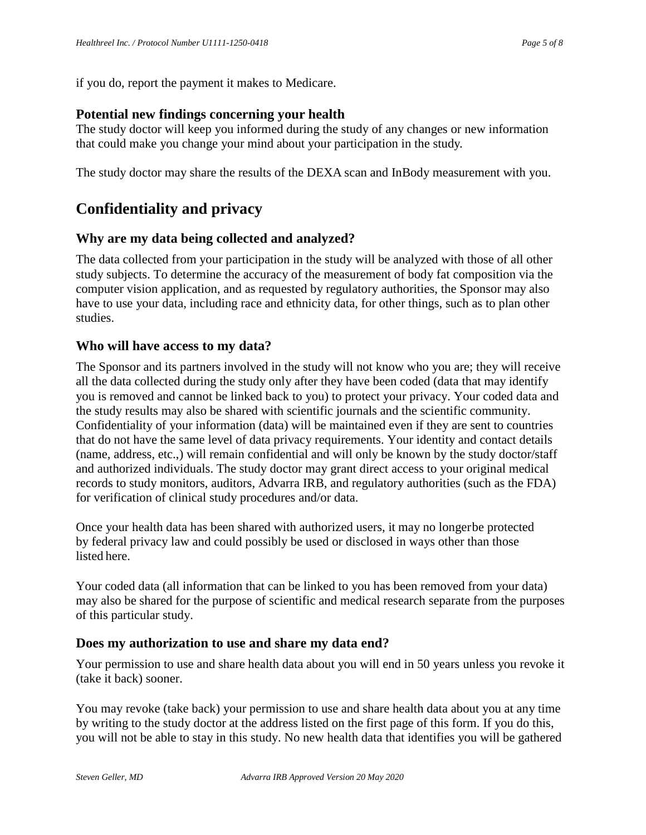if you do, report the payment it makes to Medicare.

### **Potential new findings concerning your health**

The study doctor will keep you informed during the study of any changes or new information that could make you change your mind about your participation in the study.

The study doctor may share the results of the DEXA scan and InBody measurement with you.

# **Confidentiality and privacy**

### **Why are my data being collected and analyzed?**

The data collected from your participation in the study will be analyzed with those of all other study subjects. To determine the accuracy of the measurement of body fat composition via the computer vision application, and as requested by regulatory authorities, the Sponsor may also have to use your data, including race and ethnicity data, for other things, such as to plan other studies.

#### **Who will have access to my data?**

The Sponsor and its partners involved in the study will not know who you are; they will receive all the data collected during the study only after they have been coded (data that may identify you is removed and cannot be linked back to you) to protect your privacy. Your coded data and the study results may also be shared with scientific journals and the scientific community. Confidentiality of your information (data) will be maintained even if they are sent to countries that do not have the same level of data privacy requirements. Your identity and contact details (name, address, etc.,) will remain confidential and will only be known by the study doctor/staff and authorized individuals. The study doctor may grant direct access to your original medical records to study monitors, auditors, Advarra IRB, and regulatory authorities (such as the FDA) for verification of clinical study procedures and/or data.

Once your health data has been shared with authorized users, it may no longerbe protected by federal privacy law and could possibly be used or disclosed in ways other than those listed here.

Your coded data (all information that can be linked to you has been removed from your data) may also be shared for the purpose of scientific and medical research separate from the purposes of this particular study.

### **Does my authorization to use and share my data end?**

Your permission to use and share health data about you will end in 50 years unless you revoke it (take it back) sooner.

You may revoke (take back) your permission to use and share health data about you at any time by writing to the study doctor at the address listed on the first page of this form. If you do this, you will not be able to stay in this study. No new health data that identifies you will be gathered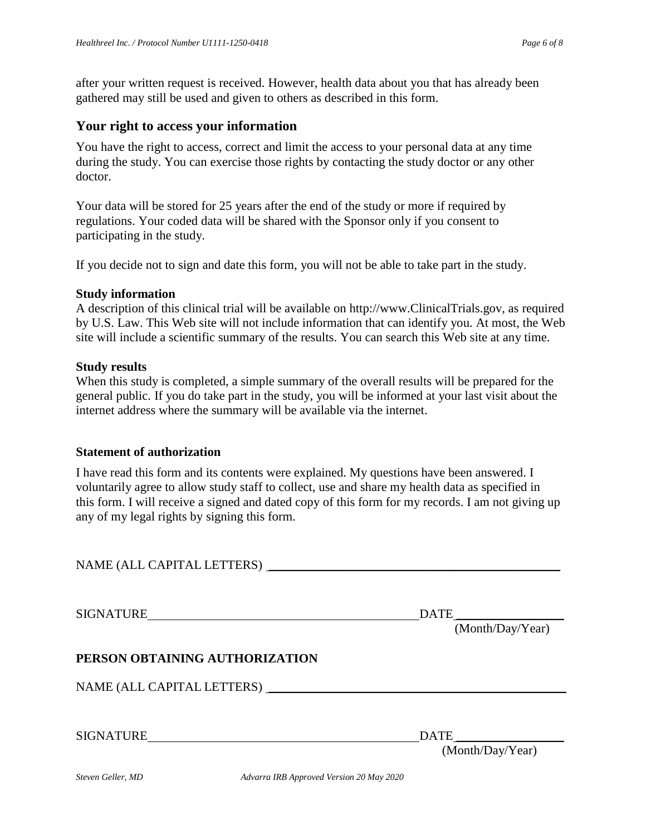after your written request is received. However, health data about you that has already been gathered may still be used and given to others as described in this form.

#### **Your right to access your information**

You have the right to access, correct and limit the access to your personal data at any time during the study. You can exercise those rights by contacting the study doctor or any other doctor.

Your data will be stored for 25 years after the end of the study or more if required by regulations. Your coded data will be shared with the Sponsor only if you consent to participating in the study.

If you decide not to sign and date this form, you will not be able to take part in the study.

#### **Study information**

A description of this clinical trial will be available on http://www.ClinicalTrials.gov, as required by U.S. Law. This Web site will not include information that can identify you. At most, the Web site will include a scientific summary of the results. You can search this Web site at any time.

#### **Study results**

When this study is completed, a simple summary of the overall results will be prepared for the general public. If you do take part in the study, you will be informed at your last visit about the internet address where the summary will be available via the internet.

#### **Statement of authorization**

I have read this form and its contents were explained. My questions have been answered. I voluntarily agree to allow study staff to collect, use and share my health data as specified in this form. I will receive a signed and dated copy of this form for my records. I am not giving up any of my legal rights by signing this form.

NAME (ALL CAPITAL LETTERS) \_\_\_\_\_\_\_\_\_\_\_\_\_\_\_\_\_\_\_\_\_\_\_\_\_\_\_\_\_\_\_\_\_\_\_\_\_\_\_\_\_\_\_\_\_\_

SIGNATURE DATE

(Month/Day/Year)

### **PERSON OBTAINING AUTHORIZATION**

NAME (ALL CAPITAL LETTERS) \_\_\_\_\_\_\_\_\_\_\_\_\_\_\_\_\_\_\_\_\_\_\_\_\_\_\_\_\_\_\_\_\_\_\_\_\_\_\_\_\_\_\_\_\_\_\_

SIGNATURE DATE

(Month/Day/Year)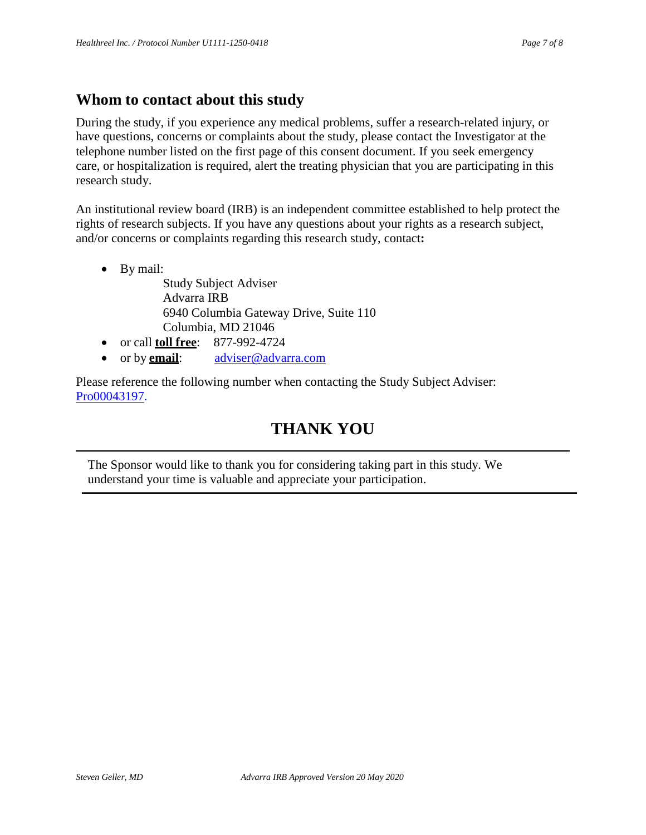# **Whom to contact about this study**

During the study, if you experience any medical problems, suffer a research-related injury, or have questions, concerns or complaints about the study, please contact the Investigator at the telephone number listed on the first page of this consent document. If you seek emergency care, or hospitalization is required, alert the treating physician that you are participating in this research study.

An institutional review board (IRB) is an independent committee established to help protect the rights of research subjects. If you have any questions about your rights as a research subject, and/or concerns or complaints regarding this research study, contact**:**

• By mail:

Study Subject Adviser Advarra IRB 6940 Columbia Gateway Drive, Suite 110 Columbia, MD 21046 • or call **toll free**: 877-992-4724

- 
- or by **email**: [adviser@advarra.com](mailto:adviser@advarra.com)

Please reference the following number when contacting the Study Subject Adviser: Pro00043197.

# **THANK YOU**

The Sponsor would like to thank you for considering taking part in this study. We understand your time is valuable and appreciate your participation.